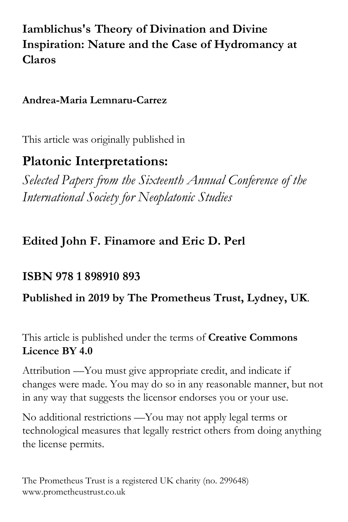# **Iamblichus's Theory of Divination and Divine Inspiration: Nature and the Case of Hydromancy at Claros**

## **Andrea-Maria Lemnaru-Carrez**

This article was originally published in

# **Platonic Interpretations:**

*Selected Papers from the Sixteenth Annual Conference of the International Society for Neoplatonic Studies*

# **Edited John F. Finamore and Eric D. Perl**

# **ISBN 978 1 898910 893**

# **Published in 2019 by The Prometheus Trust, Lydney, UK**.

This article is published under the terms of **Creative Commons Licence BY 4.0**

Attribution —You must give appropriate credit, and indicate if changes were made. You may do so in any reasonable manner, but not in any way that suggests the licensor endorses you or your use.

No additional restrictions —You may not apply legal terms or technological measures that legally restrict others from doing anything the license permits.

The Prometheus Trust is a registered UK charity (no. 299648) www.prometheustrust.co.uk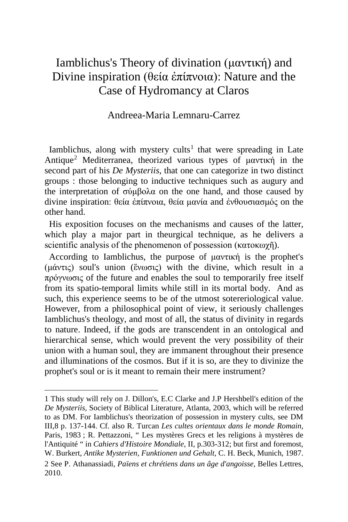# Iamblichus's Theory of divination (μαντική) and Divine inspiration (θεία ἐπίπνοια): Nature and the Case of Hydromancy at Claros

### Andreea-Maria Lemnaru-Carrez

Iamblichus, along with mystery cults<sup>[1](#page-1-0)</sup> that were spreading in Late Antique[2](#page-1-1) Mediterranea, theorized various types of μαντική in the second part of his *De Mysteriis*, that one can categorize in two distinct groups : those belonging to inductive techniques such as augury and the interpretation of σύμβολα on the one hand, and those caused by divine inspiration: θεία ἐπίπνοια, θεία μανία and ἐνθουσιασμός on the other hand.

 His exposition focuses on the mechanisms and causes of the latter, which play a major part in theurgical technique, as he delivers a scientific analysis of the phenomenon of possession (κατοκωγῆ).

 According to Iamblichus, the purpose of μαντική is the prophet's (μάντις) soul's union (ἕνωσις) with the divine, which result in a πρόγνωσις of the future and enables the soul to temporarily free itself from its spatio-temporal limits while still in its mortal body. And as such, this experience seems to be of the utmost sotereriological value. However, from a philosophical point of view, it seriously challenges Iamblichus's theology, and most of all, the status of divinity in regards to nature. Indeed, if the gods are transcendent in an ontological and hierarchical sense, which would prevent the very possibility of their union with a human soul, they are immanent throughout their presence and illuminations of the cosmos. But if it is so, are they to divinize the prophet's soul or is it meant to remain their mere instrument?

<span id="page-1-1"></span><span id="page-1-0"></span><sup>1</sup> This study will rely on J. Dillon's, E.C Clarke and J.P Hershbell's edition of the *De Mysteriis,* Society of Biblical Literature, Atlanta, 2003, which will be referred to as DM. For Iamblichus's theorization of possession in mystery cults, see DM III,8 p. 137-144. Cf. also R. Turcan *Les cultes orientaux dans le monde Romain,*  Paris, 1983 ; R. Pettazzoni, " Les mystères Grecs et les religions à mystères de l'Antiquité " in *Cahiers d'Histoire Mondiale*, II, p.303-312; but first and foremost, W. Burkert, *Antike Mysterien, Funktionen und Gehalt,* C. H. Beck, Munich, 1987. 2 See P. Athanassiadi, *Païens et chrétiens dans un âge d'angoisse,* Belles Lettres, 2010.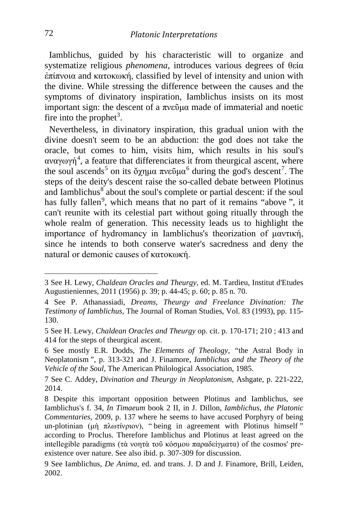Iamblichus, guided by his characteristic will to organize and systematize religious *phenomena*, introduces various degrees of θεία ἐπίπνοια and κατοκωκή, classified by level of intensity and union with the divine. While stressing the difference between the causes and the symptoms of divinatory inspiration, Iamblichus insists on its most important sign: the descent of a πνεῦμα made of immaterial and noetic fire into the prophet<sup>[3](#page-2-0)</sup>.

 Nevertheless, in divinatory inspiration, this gradual union with the divine doesn't seem to be an abduction: the god does not take the oracle, but comes to him, visits him, which results in his soul's αναγωγή<sup>[4](#page-2-1)</sup>, a feature that differenciates it from theurgical ascent, where the soul ascends<sup>[5](#page-2-2)</sup> on its ὄχημα πνεῦμα<sup>[6](#page-2-3)</sup> during the god's descent<sup>[7](#page-2-4)</sup>. The steps of the deity's descent raise the so-called debate between Plotinus and Iamblichus $8$  about the soul's complete or partial descent: if the soul has fully fallen<sup>[9](#page-2-6)</sup>, which means that no part of it remains "above", it can't reunite with its celestial part without going ritually through the whole realm of generation. This necessity leads us to highlight the importance of hydromancy in Iamblichus's theorization of μαντική, since he intends to both conserve water's sacredness and deny the natural or demonic causes of κατοκωκή.

<span id="page-2-0"></span><sup>3</sup> See H. Lewy, *Chaldean Oracles and Theurgy,* ed. M. Tardieu, Institut d'Etudes Augustieniennes, 2011 (1956) p. 39; p. 44-45; p. 60; p. 85 n. 70.

<span id="page-2-1"></span><sup>4</sup> See P. Athanassiadi, *Dreams, Theurgy and Freelance Divination: The Testimony of Iamblichus,* The Journal of Roman Studies, Vol. 83 (1993), pp. 115- 130.

<span id="page-2-2"></span><sup>5</sup> See H. Lewy, *Chaldean Oracles and Theurgy* op. cit. p. 170-171; 210 ; 413 and 414 for the steps of theurgical ascent.

<span id="page-2-3"></span><sup>6</sup> See mostly E.R. Dodds, *The Elements of Theology, "*the Astral Body in Neoplatonism ", p. 313-321 and J. Finamore, *Iamblichus and the Theory of the Vehicle of the Soul,* The American Philological Association, 1985.

<span id="page-2-4"></span><sup>7</sup> See C. Addey, *Divination and Theurgy in Neoplatonism,* Ashgate, p. 221-222, 2014.

<span id="page-2-5"></span><sup>8</sup> Despite this important opposition between Plotinus and Iamblichus, see Iamblichus's f. 34, *In Timaeum* book 2 II, in J. Dillon, *Iamblichus, the Platonic Commentaries,* 2009, p. 137 where he seems to have accused Porphyry of being un-plotinian (μὴ πλωτίνριον), "being in agreement with Plotinus himself" according to Proclus. Therefore Iamblichus and Plotinus at least agreed on the intellegible paradigms (τὰ νοητὰ τοῦ κόσμου παραδείγματα) of the cosmos' preexistence over nature. See also ibid. p. 307-309 for discussion.

<span id="page-2-6"></span><sup>9</sup> See Iamblichus, *De Anima,* ed. and trans. J. D and J. Finamore, Brill, Leiden, 2002.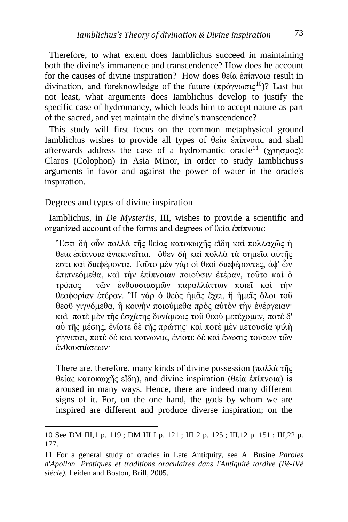Therefore, to what extent does Iamblichus succeed in maintaining both the divine's immanence and transcendence? How does he account for the causes of divine inspiration? How does θεία ἐπίπνοια result in divination, and foreknowledge of the future  $(\pi \rho \acute{o} \gamma \gamma \omega \sigma \iota \zeta^{10})$ ? Last but not least, what arguments does Iamblichus develop to justify the specific case of hydromancy, which leads him to accept nature as part of the sacred, and yet maintain the divine's transcendence?

 This study will first focus on the common metaphysical ground Iamblichus wishes to provide all types of θεία ἐπίπνοια, and shall afterwards address the case of a hydromantic oracle<sup>[11](#page-3-1)</sup> ( $\gamma$ ρησμος): Claros (Colophon) in Asia Minor, in order to study Iamblichus's arguments in favor and against the power of water in the oracle's inspiration.

### Degrees and types of divine inspiration

 Iamblichus, in *De Mysteriis,* III, wishes to provide a scientific and organized account of the forms and degrees of θεία ἐπίπνοια:

῎Εστι δὴ οὖν πολλὰ τῆς θείας κατοκωχῆς εἴδη καὶ πολλαχῶς ἡ θεία ἐπίπνοια ἀνακινεῖται, ὅθεν δὴ καὶ πολλὰ τὰ σημεῖα αὐτῆς ἐστι καὶ διαϕέροντα. Τοῦτο μὲν γὰρ οἱ θεοὶ διαϕέροντες, ἀϕ' ὧν ἐπιπνεόμεθα, καὶ τὴν ἐπίπνοιαν ποιοῦσιν ἑτέραν, τοῦτο καὶ ὁ τρόπος τῶν ἐνθουσιασμῶν παραλλάττων ποιεῖ καὶ τὴν θεοϕορίαν ἑτέραν. ῍Η γὰρ ὁ θεὸς ἡμᾶς ἔχει, ἢ ἡμεῖς ὅλοι τοῦ θεοῦ γιγνόμεθα, ἢ κοινὴν ποιούμεθα πρὸς αὐτὸν τὴν ἐνέργειαν· καὶ ποτὲ μὲν τῆς ἐσχάτης δυνάμεως τοῦ θεοῦ μετέχομεν, ποτὲ δ' αὖ τῆς μέσης, ἐνίοτε δὲ τῆς πρώτης· καὶ ποτὲ μὲν μετουσία ψιλὴ γίγνεται, ποτὲ δὲ καὶ κοινωνία, ἐνίοτε δὲ καὶ ἕνωσις τούτων τῶν ἐνθουσιάσεων·

There are, therefore, many kinds of divine possession (πολλά τῆς θείας κατοκωχῆς εἴδη), and divine inspiration (θεία ἐπίπνοια) is aroused in many ways. Hence, there are indeed many different signs of it. For, on the one hand, the gods by whom we are inspired are different and produce diverse inspiration; on the

<span id="page-3-0"></span><sup>10</sup> See DM III,1 p. 119 ; DM III I p. 121 ; III 2 p. 125 ; III,12 p. 151 ; III,22 p. 177.

<span id="page-3-1"></span><sup>11</sup> For a general study of oracles in Late Antiquity, see A. Busine *Paroles d'Apollon. Pratiques et traditions oraculaires dans l'Antiquité tardive (Iiè-IVè siècle),* Leiden and Boston, Brill, 2005.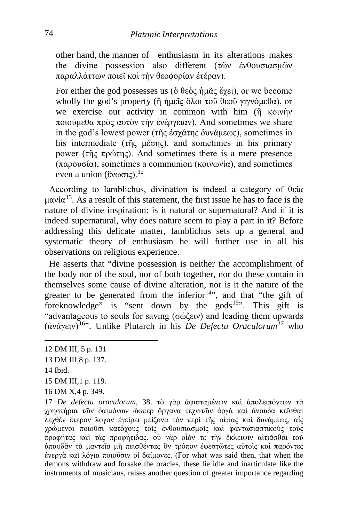other hand, the manner of enthusiasm in its alterations makes the divine possession also different (τῶν ἐνθουσιασμῶν παραλλάττων ποιεῖ καὶ τὴν θεοϕορίαν ἑτέραν).

For either the god possesses us (ὁ θεὸς ἡμᾶς ἔχει), or we become wholly the god's property ( $\hat{\eta}$  ήμεῖς ὅλοι τοῦ θεοῦ γιγνόμεθα), or we exercise our activity in common with him (ή κοινήν ποιούμεθα πρὸς αὐτὸν τὴν ἐνέργειαν). And sometimes we share in the god's lowest power (τῆς ἐσχάτης δυνάμεως), sometimes in his intermediate (τῆς μέσης), and sometimes in his primary power (τῆς πρώτης). And sometimes there is a mere presence (παρουσία), sometimes a communion (κοινωνία), and sometimes even a union (ἕνωσις).<sup>[12](#page-4-0)</sup>

 According to Iamblichus, divination is indeed a category of θεία μανία<sup>[13](#page-4-1)</sup>. As a result of this statement, the first issue he has to face is the nature of divine inspiration: is it natural or supernatural? And if it is indeed supernatural, why does nature seem to play a part in it? Before addressing this delicate matter, Iamblichus sets up a general and systematic theory of enthusiasm he will further use in all his observations on religious experience.

 He asserts that "divine possession is neither the accomplishment of the body nor of the soul, nor of both together, nor do these contain in themselves some cause of divine alteration, nor is it the nature of the greater to be generated from the inferior<sup>14</sup>", and that "the gift of foreknowledge" is "sent down by the gods<sup>[15](#page-4-3)</sup>". This gift is "advantageous to souls for saving (σώζειν) and leading them upwards (ἀνάγειν)[16](#page-4-4)". Unlike Plutarch in his *De Defectu Oraculorum[17](#page-4-5)* who

- <span id="page-4-3"></span>15 DM III,1 p. 119.
- <span id="page-4-4"></span>16 DM X,4 p. 349.

<span id="page-4-5"></span>17 *De defectu oraculorum,* 38. τὸ γὰρ ἀφισταμένων καὶ ἀπολειπόντων τὰ χρηστήρια τῶν δαιμόνων ὥσπερ ὄργανα τεχνιτῶν ἀργὰ καὶ ἄναυδα κεῖσθαι λεχθὲν ἕτερον λόγον ἐγείρει μείζονα τὸν περὶ τῆς αἰτίας καὶ δυνάμεως, αἷς χρώμενοι ποιοῦσι κατόχους τοῖς ἐνθουσιασμοῖς καὶ φαντασιαστικοὺς τοὺς προφήτας καὶ τὰς προφήτιδας. οὐ γὰρ οἷόν τε τὴν ἔκλειψιν αἰτιᾶσθαι τοῦ ἀπαυδᾶν τὰ μαντεῖα μὴ πεισθέντας ὃν τρόπον ἐφεστῶτες αὐτοῖς καὶ παρόντες ἐνεργὰ καὶ λόγια ποιοῦσιν οἱ δαίμονες. (For what was said then, that when the demons withdraw and forsake the oracles, these lie idle and inarticulate like the instruments of musicians, raises another question of greater importance regarding

<span id="page-4-0"></span><sup>12</sup> DM III, 5 p. 131

<span id="page-4-1"></span><sup>13</sup> DM III,8 p. 137.

<span id="page-4-2"></span><sup>14</sup> Ibid.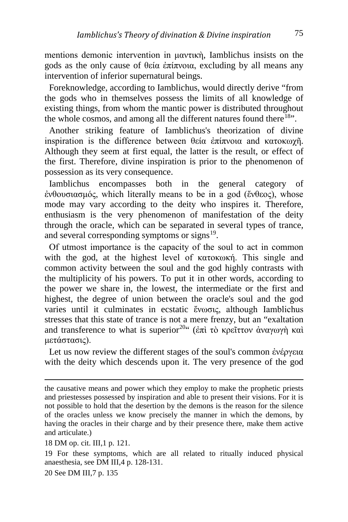mentions demonic intervention in μαντικὴ, Iamblichus insists on the gods as the only cause of θεία ἐπίπνοια, excluding by all means any intervention of inferior supernatural beings.

 Foreknowledge, according to Iamblichus, would directly derive "from the gods who in themselves possess the limits of all knowledge of existing things, from whom the mantic power is distributed throughout the whole cosmos, and among all the different natures found there<sup>[18](#page-5-0)</sup>".

 Another striking feature of Iamblichus's theorization of divine inspiration is the difference between θεία ἐπίπνοια and κατοκωχῆ. Although they seem at first equal, the latter is the result, or effect of the first. Therefore, divine inspiration is prior to the phenomenon of possession as its very consequence.

 Iamblichus encompasses both in the general category of ἐνθουσιασμός, which literally means to be in a god (ἔνθεος), whose mode may vary according to the deity who inspires it. Therefore, enthusiasm is the very phenomenon of manifestation of the deity through the oracle, which can be separated in several types of trance, and several corresponding symptoms or signs $^{19}$ .

 Οf utmost importance is the capacity of the soul to act in common with the god, at the highest level of κατοκωκή. This single and common activity between the soul and the god highly contrasts with the multiplicity of his powers. To put it in other words, according to the power we share in, the lowest, the intermediate or the first and highest, the degree of union between the oracle's soul and the god varies until it culminates in ecstatic ἔνωσις, although Iamblichus stresses that this state of trance is not a mere frenzy, but an "exaltation and transference to what is superior<sup>[20"](#page-5-2)</sup> (ἐπὶ τὸ κρεῖττον ἀναγωγὴ καὶ μετάστασις).

 Let us now review the different stages of the soul's common ἐνέργεια with the deity which descends upon it. The very presence of the god

<span id="page-5-2"></span>20 See DM III,7 p. 135

the causative means and power which they employ to make the prophetic priests and priestesses possessed by inspiration and able to present their visions. For it is not possible to hold that the desertion by the demons is the reason for the silence of the oracles unless we know precisely the manner in which the demons, by having the oracles in their charge and by their presence there, make them active and articulate.)

<span id="page-5-0"></span><sup>18</sup> DM op. cit. III,1 p. 121.

<span id="page-5-1"></span><sup>19</sup> For these symptoms, which are all related to ritually induced physical anaesthesia, see DM III,4 p. 128-131.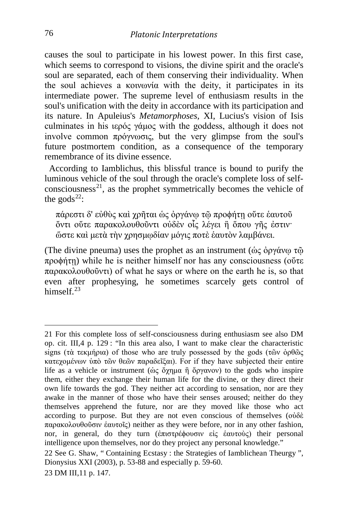causes the soul to participate in his lowest power. In this first case, which seems to correspond to visions, the divine spirit and the oracle's soul are separated, each of them conserving their individuality. When the soul achieves a κοινωνία with the deity, it participates in its intermediate power. The supreme level of enthusiasm results in the soul's unification with the deity in accordance with its participation and its nature. In Apuleius's *Metamorphoses,* XI, Lucius's vision of Isis culminates in his ιερός γάμος with the goddess, although it does not involve common πρόγνωσις, but the very glimpse from the soul's future postmortem condition, as a consequence of the temporary remembrance of its divine essence.

 According to Iamblichus, this blissful trance is bound to purify the luminous vehicle of the soul through the oracle's complete loss of selfconsciousness<sup>21</sup>, as the prophet symmetrically becomes the vehicle of the gods<sup>[22](#page-6-1)</sup>:

πάρεστι δ' εὐθὺς καὶ χρῆται ὡς ὀργάνῳ τῷ προϕήτῃ οὔτε ἑαυτοῦ ὄντι οὔτε παρακολουθοῦντι οὐδὲν οἷς λέγει ἢ ὅπου γῆς ἐστιν· ὥστε καὶ μετὰ τὴν χρησμῳδίαν μόγις ποτὲ ἑαυτὸν λαμβάνει.

(The divine pneuma) uses the prophet as an instrument ( $\dot{\omega}$ ς ὀργάνω τῶ προϕήτῃ) while he is neither himself nor has any consciousness (οὔτε παρακολουθοῦντι) of what he says or where on the earth he is, so that even after prophesying, he sometimes scarcely gets control of himsel $f<sup>23</sup>$  $f<sup>23</sup>$  $f<sup>23</sup>$ 

<span id="page-6-2"></span>23 DM III,11 p. 147.

<span id="page-6-0"></span><sup>21</sup> For this complete loss of self-consciousness during enthusiasm see also DM op. cit. III,4 p. 129 : "In this area also, I want to make clear the characteristic signs (τὰ τεκμήρια) of those who are truly possessed by the gods (τῶν ὀρθῶς κατεχομένων ὑπὸ τῶν θεῶν παραδεῖξαι). For if they have subjected their entire life as a vehicle or instrument ( $\dot{\omega}$ ς ὄχημα ή ὄργανον) to the gods who inspire them, either they exchange their human life for the divine, or they direct their own life towards the god. They neither act according to sensation, nor are they awake in the manner of those who have their senses aroused; neither do they themselves apprehend the future, nor are they moved like those who act according to purpose. But they are not even conscious of themselves (οὐδὲ παρακολουθοῦσιν ἑαυτοῖς) neither as they were before, nor in any other fashion, nor, in general, do they turn (ἐπιστρέϕουσιν εἰς ἑαυτοὺς) their personal intelligence upon themselves, nor do they project any personal knowledge."

<span id="page-6-1"></span><sup>22</sup> See G. Shaw, " Containing Ecstasy : the Strategies of Iamblichean Theurgy ", Dionysius XXI (2003), p. 53-88 and especially p. 59-60.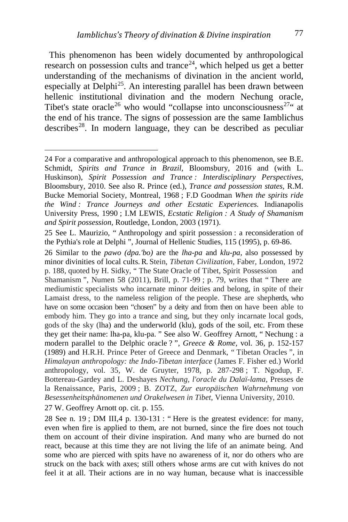This phenomenon has been widely documented by anthropological research on possession cults and trance<sup>24</sup>, which helped us get a better understanding of the mechanisms of divination in the ancient world, especially at Delphi<sup>[25](#page-7-1)</sup>. An interesting parallel has been drawn between hellenic institutional divination and the modern Nechung oracle, Tibet's state oracle<sup>[26](#page-7-2)</sup> who would "collapse into unconsciousness<sup>[27](#page-7-3)</sup>" at the end of his trance. The signs of possession are the same Iamblichus describes<sup>28</sup>. In modern language, they can be described as peculiar

<span id="page-7-3"></span>27 W. Geoffrey Arnott op. cit. p. 155.

<span id="page-7-4"></span>28 See n. 19 ; DM III,4 p. 130-131 : " Here is the greatest evidence: for many, even when fire is applied to them, are not burned, since the fire does not touch them on account of their divine inspiration. And many who are burned do not react, because at this time they are not living the life of an animate being. And some who are pierced with spits have no awareness of it, nor do others who are struck on the back with axes; still others whose arms are cut with knives do not feel it at all. Their actions are in no way human, because what is inaccessible

<span id="page-7-0"></span><sup>24</sup> For a comparative and anthropological approach to this phenomenon, see B.E. Schmidt, *Spirits and Trance in Brazil,* Bloomsbury, 2016 and (with L. Huskinson), *Spirit Possession and Trance : Interdisciplinary Perspectives,*  Bloomsbury, 2010. See also R. Prince (ed.), *Trance and possession states,* R.M. Bucke Memorial Society, Montreal, 1968 ; F.D Goodman *When the spirits ride the Wind : Trance Journeys and other Ecstatic Experiences.* Indianapolis University Press, 1990 ; I.M LEWIS, *Ecstatic Religion : A Study of Shamanism and Spirit possession,* Routledge, London, 2003 (1971).

<span id="page-7-1"></span><sup>25</sup> See L. Maurizio, " Anthropology and spirit possession : a reconsideration of the Pythia's role at Delphi ", Journal of Hellenic Studies, 115 (1995), p. 69-86.

<span id="page-7-2"></span><sup>26</sup> Similar to the *pawo (dpa.'bo)* are the *lha-pa* and *klu-pa,* also possessed by minor divinities of local cults. R. Stein, *Tibetan Civilization,* Faber, London, 1972 p. 188, quoted by H. Sidky, " The State Oracle of Tibet, Spirit Possession and Shamanism ", Numen 58 (2011), Brill, p. 71-99 ; p. 79, writes that " There are mediumistic specialists who incarnate minor deities and belong, in spite of their Lamaist dress, to the nameless religion of the people. These are shepherds, who have on some occasion been "chosen" by a deity and from then on have been able to embody him. They go into a trance and sing, but they only incarnate local gods, gods of the sky (lha) and the underworld (klu), gods of the soil, etc. From these they get their name: lha-pa, klu-pa. " See also W. Geoffrey Arnott, " Nechung : a modern parallel to the Delphic oracle ? ", *Greece & Rome,* vol. 36, p. 152-157 (1989) and H.R.H. Prince Peter of Greece and Denmark, " Tibetan Oracles ", in *Himalayan anthropology: the Indo-Tibetan interface* (James F. Fisher ed.) World anthropology, vol. 35, W. de Gruyter, 1978, p. 287-298 ; T. Ngodup, F. Bottereau-Gardey and L. Deshayes *Nechung, l'oracle du Dalaï-lama*, Presses de la Renaissance, Paris, 2009 ; B. ZOTZ, *Zur europäischen Wahrnehmung von Besessenheitsphänomenen und Orakelwesen in Tibet*, Vienna University, 2010.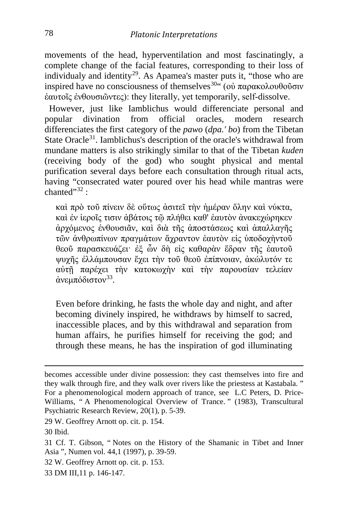movements of the head, hyperventilation and most fascinatingly, a complete change of the facial features, corresponding to their loss of individualy and identity<sup>29</sup>. As Apamea's master puts it, "those who are inspired have no consciousness of themselves<sup>30. (</sup>(οὐ παρακολουθοῦσιν ἑαυτοῖς ἐνθουσιῶντες): they literally, yet temporarily, self-dissolve.

 However, just like Iamblichus would differenciate personal and popular divination from official oracles, modern research differenciates the first category of the *pawo* (*dpa.' bo*) from the Tibetan State Oracle<sup>[31](#page-8-2)</sup>. Iamblichus's description of the oracle's withdrawal from mundane matters is also strikingly similar to that of the Tibetan *kuden*  (receiving body of the god) who sought physical and mental purification several days before each consultation through ritual acts, having "consecrated water poured over his head while mantras were  $chanted$ " $32$ .

καὶ πρὸ τοῦ πίνειν δὲ οὕτως ἀσιτεῖ τὴν ἡμέραν ὅλην καὶ νύκτα, καὶ ἐν ἱεροῖς τισιν ἀβάτοις τῷ πλήθει καθ' ἑαυτὸν ἀνακεχώρηκεν ἀρχόμενος ἐνθουσιᾶν, καὶ διὰ τῆς ἀποστάσεως καὶ ἀπαλλαγῆς τῶν ἀνθρωπίνων πραγμάτων ἄχραντον ἑαυτὸν εἰς ὑποδοχὴντοῦ θεοῦ παρασκευάζει· ἐξ ὧν δὴ εἰς καθαρὰν ἕδραν τῆς ἑαυτοῦ ψυχῆς ἐλλάμπουσαν ἔχει τὴν τοῦ θεοῦ ἐπίπνοιαν, ἀκώλυτόν τε αὐτῇ παρέχει τὴν κατοκωχὴν καὶ τὴν παρουσίαν τελείαν άνεμπόδιστον<sup>[33](#page-8-4)</sup>.

Even before drinking, he fasts the whole day and night, and after becoming divinely inspired, he withdraws by himself to sacred, inaccessible places, and by this withdrawal and separation from human affairs, he purifies himself for receiving the god; and through these means, he has the inspiration of god illuminating

- <span id="page-8-3"></span>32 W. Geoffrey Arnott op. cit. p. 153.
- <span id="page-8-4"></span>33 DM III,11 p. 146-147.

becomes accessible under divine possession: they cast themselves into fire and they walk through fire, and they walk over rivers like the priestess at Kastabala. " For a phenomenological modern approach of trance, see L.C Peters, D. Price-Williams, " A Phenomenological Overview of Trance. " (1983), Transcultural Psychiatric Research Review, 20(1), p. 5-39.

<span id="page-8-0"></span><sup>29</sup> W. Geoffrey Arnott op. cit. p. 154.

<span id="page-8-1"></span><sup>30</sup> Ibid.

<span id="page-8-2"></span><sup>31</sup> Cf. T. Gibson, " Notes on the History of the Shamanic in Tibet and Inner Asia ", Numen vol. 44,1 (1997), p. 39-59.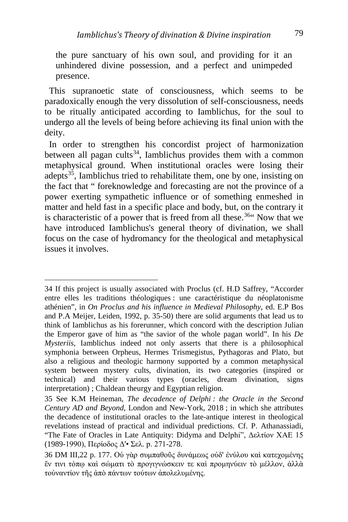the pure sanctuary of his own soul, and providing for it an unhindered divine possession, and a perfect and unimpeded presence.

 This supranoetic state of consciousness, which seems to be paradoxically enough the very dissolution of self-consciousness, needs to be ritually anticipated according to Iamblichus, for the soul to undergo all the levels of being before achieving its final union with the deity.

 In order to strengthen his concordist project of harmonization between all pagan cults<sup>[34](#page-9-0)</sup>, Iamblichus provides them with a common metaphysical ground. When institutional oracles were losing their adepts<sup>[35](#page-9-1)</sup>, Iamblichus tried to rehabilitate them, one by one, insisting on the fact that " foreknowledge and forecasting are not the province of a power exerting sympathetic influence or of something enmeshed in matter and held fast in a specific place and body, but, on the contrary it is characteristic of a power that is freed from all these.<sup>[36](#page-9-2) $\cdot$ </sup> Now that we have introduced Iamblichus's general theory of divination, we shall focus on the case of hydromancy for the theological and metaphysical issues it involves.

<span id="page-9-0"></span><sup>34</sup> If this project is usually associated with Proclus (cf. H.D Saffrey, "Accorder entre elles les traditions théologiques : une caractéristique du néoplatonisme athénien", in *On Proclus and his influence in Medieval Philosophy*, ed. E.P Bos and P.A Meijer, Leiden, 1992, p. 35-50) there are solid arguments that lead us to think of Iamblichus as his forerunner, which concord with the description Julian the Emperor gave of him as "the savior of the whole pagan world". In his *De Mysteriis,* Iamblichus indeed not only asserts that there is a philosophical symphonia between Orpheus, Hermes Trismegistus, Pythagoras and Plato, but also a religious and theologic harmony supported by a common metaphysical system between mystery cults, divination, its two categories (inspired or technical) and their various types (oracles, dream divination, signs interpretation) ; Chaldean theurgy and Egyptian religion.

<span id="page-9-1"></span><sup>35</sup> See K.M Heineman, *The decadence of Delphi : the Oracle in the Second Century AD and Beyond,* London and New-York, 2018 ; in which she attributes the decadence of institutional oracles to the late-antique interest in theological revelations instead of practical and individual predictions. Cf. P. Athanassiadi, "The Fate of Oracles in Late Antiquity: Didyma and Delphi", Δελτίον XAE 15 (1989-1990), Περίοδος Δ'• Σελ. p. 271-278.

<span id="page-9-2"></span><sup>36</sup> DM III,22 p. 177. Οὐ γὰρ συμπαθοῦς δυνάμεως οὐδ' ἐνύλου καὶ κατεχομένης ἔν τινι τόπῳ καὶ σώματι τὸ προγιγνώσκειν τε καὶ προμηνύειν τὸ μέλλον, ἀλλὰ τοὐναντίον τῆς ἀπὸ πάντων τούτων ἀπολελυμένης.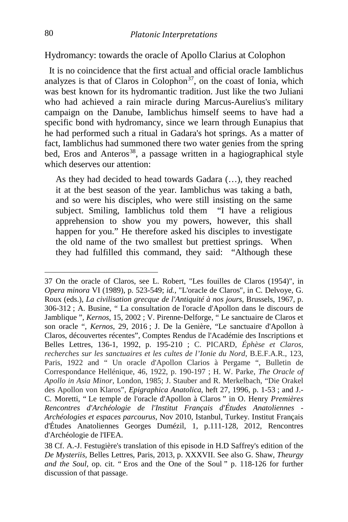### Hydromancy: towards the oracle of Apollo Clarius at Colophon

 It is no coincidence that the first actual and official oracle Iamblichus analyzes is that of Claros in Colophon<sup>[37](#page-10-0)</sup>, on the coast of Ionia, which was best known for its hydromantic tradition. Just like the two Juliani who had achieved a rain miracle during Marcus-Aurelius's military campaign on the Danube, Iamblichus himself seems to have had a specific bond with hydromancy, since we learn through Eunapius that he had performed such a ritual in Gadara's hot springs. As a matter of fact, Iamblichus had summoned there two water genies from the spring bed, Eros and Anteros<sup>[38](#page-10-1)</sup>, a passage written in a hagiographical style which deserves our attention:

As they had decided to head towards Gadara (…), they reached it at the best season of the year. Iamblichus was taking a bath, and so were his disciples, who were still insisting on the same subject. Smiling, Iamblichus told them "I have a religious apprehension to show you my powers, however, this shall happen for you." He therefore asked his disciples to investigate the old name of the two smallest but prettiest springs. When they had fulfilled this command, they said: "Although these

<span id="page-10-0"></span><sup>37</sup> On the oracle of Claros, see L. Robert, "Les fouilles de Claros (1954)", in *Opera minora* VI (1989), p. 523-549; *id.,* "L'oracle de Claros", in C. Delvoye, G. Roux (eds.), *La civilisation grecque de l'Antiquité à nos jours,* Brussels, 1967, p. 306-312 ; A. Busine, " La consultation de l'oracle d'Apollon dans le discours de Jamblique ", *Kernos*, 15, 2002 ; V. Pirenne‐Delforge, " Le sanctuaire de Claros et son oracle ", *Kernos*, 29, 2016 ; J. De la Genière, "Le sanctuaire d'Apollon à Claros, découvertes récentes", Comptes Rendus de l'Académie des Inscriptions et Belles Lettres, 136-1, 1992, p. 195-210 ; C. PICARD, *Éphèse et Claros, recherches sur les sanctuaires et les cultes de l'Ionie du Nord*, B.E.F.A.R., 123, Paris, 1922 and " Un oracle d'Apollon Clarios à Pergame ", Bulletin de Correspondance Hellénique, 46, 1922, p. 190-197 ; H. W. Parke, *The Oracle of Apollo in Asia Minor*, London, 1985; J. Stauber and R. Merkelbach, "Die Orakel des Apollon von Klaros", *Epigraphica Anatolica*, heft 27, 1996, p. 1-53 ; and J.- C. Moretti, " Le temple de l'oracle d'Apollon à Claros " in O. Henry *Premières Rencontres d'Archéologie de l'Institut Français d'Études Anatoliennes - Archéologies et espaces parcourus*, Nov 2010, Istanbul, Turkey. Institut Français d'Études Anatoliennes Georges Dumézil, 1, p.111-128, 2012, Rencontres d'Archéologie de l'IFEA.

<span id="page-10-1"></span><sup>38</sup> Cf. A.-J. Festugière's translation of this episode in H.D Saffrey's edition of the *De Mysteriis,* Belles Lettres, Paris, 2013, p. XXXVII. See also G. Shaw, *Theurgy and the Soul,* op. cit. " Eros and the One of the Soul " p. 118-126 for further discussion of that passage.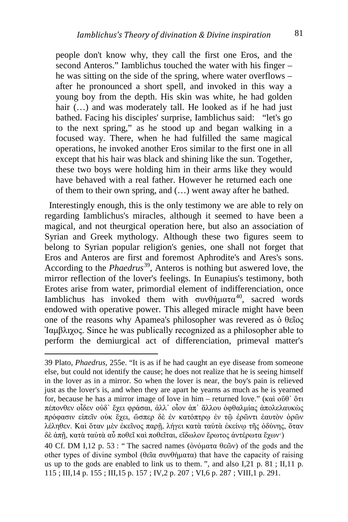people don't know why, they call the first one Eros, and the second Anteros." Iamblichus touched the water with his finger – he was sitting on the side of the spring, where water overflows – after he pronounced a short spell, and invoked in this way a young boy from the depth. His skin was white, he had golden hair (...) and was moderately tall. He looked as if he had just bathed. Facing his disciples' surprise, Iamblichus said: "let's go to the next spring," as he stood up and began walking in a focused way. There, when he had fulfilled the same magical operations, he invoked another Eros similar to the first one in all except that his hair was black and shining like the sun. Together, these two boys were holding him in their arms like they would have behaved with a real father. However he returned each one of them to their own spring, and (…) went away after he bathed.

 Interestingly enough, this is the only testimony we are able to rely on regarding Iamblichus's miracles, although it seemed to have been a magical, and not theurgical operation here, but also an association of Syrian and Greek mythology. Although these two figures seem to belong to Syrian popular religion's genies, one shall not forget that Eros and Anteros are first and foremost Aphrodite's and Ares's sons. According to the *Phaedrus*[39,](#page-11-0) Anteros is nothing but aswered love, the mirror reflection of the lover's feelings. In Eunapius's testimony, both Erotes arise from water, primordial element of indifferenciation, once Iamblichus has invoked them with συνθήματα<sup>40</sup>, sacred words endowed with operative power. This alleged miracle might have been one of the reasons why Apamea's philosopher was revered as ὁ θεῖος Ἰαμβλιχος. Since he was publically recognized as a philosopher able to perform the demiurgical act of differenciation, primeval matter's

<span id="page-11-0"></span><sup>39</sup> Plato, *Phaedrus*, 255e. "It is as if he had caught an eye disease from someone else, but could not identify the cause; he does not realize that he is seeing himself in the lover as in a mirror. So when the lover is near, the boy's pain is relieved just as the lover's is, and when they are apart he yearns as much as he is yearned for, because he has a mirror image of love in him – returned love." (καὶ οὔθ᾽ ὅτι πέπονθεν οἶδεν οὐδ᾽ ἔχει φράσαι, ἀλλ᾽ οἷον ἀπ᾽ ἄλλου ὀφθαλμίας ἀπολελαυκὼς πρόφασιν εἰπεῖν οὐκ ἔχει, ὥσπερ δὲ ἐν κατόπτρῳ ἐν τῷ ἐρῶντι ἑαυτὸν ὁρῶν λέληθεν. Καὶ ὅταν μὲν ἐκεῖνος παρῇ, λήγει κατὰ ταὐτὰ ἐκείνῳ τῆς ὀδύνης, ὅταν δὲ ἀπῇ, κατὰ ταὐτὰ αὖ ποθεῖ καὶ ποθεῖται, εἴδωλον ἔρωτος ἀντέρωτα ἔχων·)

<span id="page-11-1"></span><sup>40</sup> Cf. DM I,12 p. 53 : "The sacred names (ὀνόματα θεῶν) of the gods and the other types of divine symbol (θεῖα συνθήματα) that have the capacity of raising us up to the gods are enabled to link us to them. ", and also I,21 p. 81 ; II,11 p. 115 ; III,14 p. 155 ; III,15 p. 157 ; IV,2 p. 207 ; VI,6 p. 287 ; VIII,1 p. 291.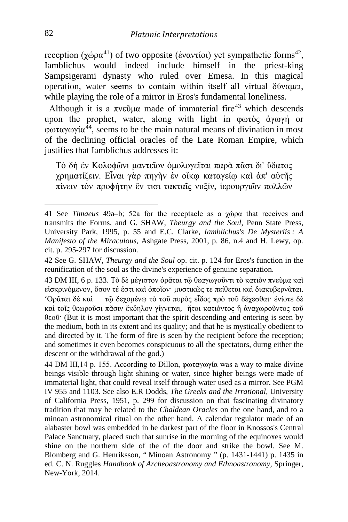reception (χώρα<sup>[41](#page-12-0)</sup>) of two opposite (ἐναντίοι) yet sympathetic forms<sup>42</sup>, Iamblichus would indeed include himself in the priest-king Sampsigerami dynasty who ruled over Emesa. In this magical operation, water seems to contain within itself all virtual δύναμει, while playing the role of a mirror in Eros's fundamental loneliness.

Although it is a  $\pi v \in \mathfrak{g}$  made of immaterial fire<sup>[43](#page-12-2)</sup> which descends upon the prophet, water, along with light in φωτὸς ἀγωγή or φωταγωγία[44,](#page-12-3) seems to be the main natural means of divination in most of the declining official oracles of the Late Roman Empire, which justifies that Iamblichus addresses it:

Τὸ δὴ ἐν Κολοϕῶνι μαντεῖον ὁμολογεῖται παρὰ πᾶσι δι' ὕδατος χρηματίζειν. Εἶναι γὰρ πηγὴν ἐν οἴκῳ καταγείῳ καὶ ἀπ' αὐτῆς πίνειν τὸν προϕήτην ἔν τισι τακταῖς νυξίν, ἱερουργιῶν πολλῶν

<span id="page-12-3"></span>44 DM III, 14 p. 155. According to Dillon, φωταγωγία was a way to make divine beings visible through light shining or water, since higher beings were made of immaterial light, that could reveal itself through water used as a mirror. See PGM IV 955 and 1103. See also E.R Dodds, *The Greeks and the Irrational,* University of California Press, 1951, p. 299 for discussion on that fascinating divinatory tradition that may be related to the *Chaldean Oracles* on the one hand, and to a minoan astronomical ritual on the other hand. A calendar regulator made of an alabaster bowl was embedded in he darkest part of the floor in Knossos's Central Palace Sanctuary, placed such that sunrise in the morning of the equinoxes would shine on the northern side of the of the door and strike the bowl. See M. Blomberg and G. Henriksson, " Minoan Astronomy *"* (p. 1431-1441) p. 1435 in ed. C. N. Ruggles *Handbook of Archeoastronomy and Ethnoastronomy,* Springer, New-York, 2014.

<span id="page-12-0"></span><sup>41</sup> See *Timaeus* 49a–b; 52a for the receptacle as a χώρα that receives and transmits the Forms, and G. SHAW, *Theurgy and the Soul,* Penn State Press, University Park, 1995, p. 55 and E.C. Clarke, *Iamblichus's De Mysteriis : A Manifesto of the Miraculous,* Ashgate Press, 2001, p. 86, n.4 and H. Lewy, op. cit. p. 295-297 for discussion.

<span id="page-12-1"></span><sup>42</sup> See G. SHAW, *Theurgy and the Soul* op. cit. p. 124 for Eros's function in the reunification of the soul as the divine's experience of genuine separation.

<span id="page-12-2"></span><sup>43</sup> DM III, 6 p. 133. Τὸ δὲ μέγιστον ὁρᾶται τῷ θεαγωγοῦντι τὸ κατιὸν πνεῦμα καὶ εἰσκρινόμενον, ὅσον τέ ἐστι καὶ ὁποῖον· μυστικῶς τε πείθεται καὶ διακυβερνᾶται. 'Ορᾶται δὲ καὶ τῷ δεχομένῳ τὸ τοῦ πυρὸς εἶδος πρὸ τοῦ δέχεσθαι· ἐνίοτε δὲ καὶ τοῖς θεωροῦσι πᾶσιν ἔκδηλον γίγνεται, ἤτοι κατιόντος ἢ ἀναχωροῦντος τοῦ θεοῦ· (But it is most important that the spirit descending and entering is seen by the medium, both in its extent and its quality; and that he is mystically obedient to and directed by it. The form of fire is seen by the recipient before the reception; and sometimes it even becomes conspicuous to all the spectators, durng either the descent or the withdrawal of the god.)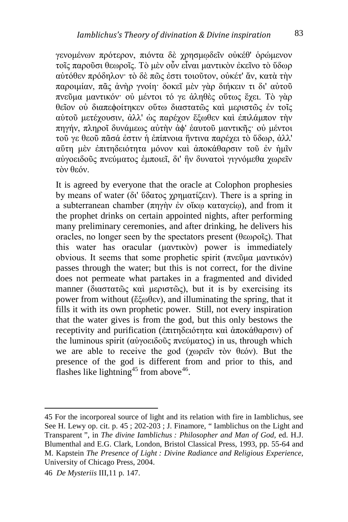γενομένων πρότερον, πιόντα δὲ χρησμῳδεῖν οὐκέθ' ὁρώμενον τοῖς παροῦσι θεωροῖς. Τὸ μὲν οὖν εἶναι μαντικὸν ἐκεῖνο τὸ ὕδωρ αὐτόθεν πρόδηλον· τὸ δὲ πῶς ἐστι τοιοῦτον, οὐκέτ' ἄν, κατὰ τὴν παροιμίαν, πᾶς ἀνὴρ γνοίη· δοκεῖ μὲν γὰρ διήκειν τι δι' αὐτοῦ πνεῦμα μαντικόν· οὐ μέντοι τό γε ἀληθὲς οὕτως ἔχει. Τὸ γὰρ θεῖον οὐ διαπεϕοίτηκεν οὕτω διαστατῶς καὶ μεριστῶς ἐν τοῖς αὐτοῦ μετέχουσιν, ἀλλ' ὡς παρέχον ἔξωθεν καὶ ἐπιλάμπον τὴν πηγήν, πληροῖ δυνάμεως αὐτὴν ἀϕ' ἑαυτοῦ μαντικῆς· οὐ μέντοι τοῦ γε θεοῦ πᾶσά ἐστιν ἡ ἐπίπνοια ἥντινα παρέχει τὸ ὕδωρ, ἀλλ' αὕτη μὲν ἐπιτηδειότητα μόνον καὶ ἀποκάθαρσιν τοῦ ἐν ἡμῖν αὐγοειδοῦς πνεύματος ἐμποιεῖ, δι' ἣν δυνατοὶ γιγνόμεθα χωρεῖν τὸν θεόν.

It is agreed by everyone that the oracle at Colophon prophesies by means of water (δι' ὕδατος χρηματίζειν). There is a spring in a subterranean chamber (πηγὴν ἐν οἴκῳ καταγείῳ), and from it the prophet drinks on certain appointed nights, after performing many preliminary ceremonies, and after drinking, he delivers his oracles, no longer seen by the spectators present (θεωροῖς). That this water has oracular (μαντικὸν) power is immediately obvious. It seems that some prophetic spirit (πνεῦμα μαντικόν) passes through the water; but this is not correct, for the divine does not permeate what partakes in a fragmented and divided manner (διαστατῶς καὶ μεριστῶς), but it is by exercising its power from without (ἔξωθεν), and illuminating the spring, that it fills it with its own prophetic power. Still, not every inspiration that the water gives is from the god, but this only bestows the receptivity and purification (ἐπιτηδειότητα καὶ ἀποκάθαρσιν) of the luminous spirit (αὐγοειδοῦς πνεύματος) in us, through which we are able to receive the god (χωρεῖν τὸν θεόν). But the presence of the god is different from and prior to this, and flashes like lightning<sup>[45](#page-13-0)</sup> from above  $46$ .

<span id="page-13-0"></span><sup>45</sup> For the incorporeal source of light and its relation with fire in Iamblichus, see See H. Lewy op. cit. p. 45 ; 202-203 ; J. Finamore, " Iamblichus on the Light and Transparent ", in *The divine Iamblichus : Philosopher and Man of God,* ed. H.J. Blumenthal and E.G. Clark, London, Bristol Classical Press, 1993, pp. 55-64 and M. Kapstein *The Presence of Light : Divine Radiance and Religious Experience,*  University of Chicago Press, 2004.

<span id="page-13-1"></span><sup>46</sup> *De Mysteriis* III,11 p. 147.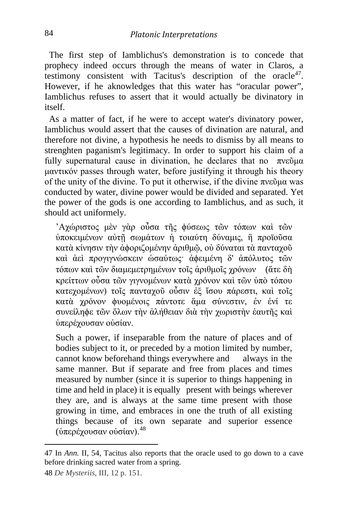The first step of Iamblichus's demonstration is to concede that prophecy indeed occurs through the means of water in Claros, a testimony consistent with Tacitus's description of the oracle<sup>47</sup>. However, if he aknowledges that this water has "oracular power", Iamblichus refuses to assert that it would actually be divinatory in itself.

 As a matter of fact, if he were to accept water's divinatory power, Iamblichus would assert that the causes of divination are natural, and therefore not divine, a hypothesis he needs to dismiss by all means to strenghten paganism's legitimacy. In order to support his claim of a fully supernatural cause in divination, he declares that no  $\pi$ νεῦμα μαντικόν passes through water, before justifying it through his theory of the unity of the divine. To put it otherwise, if the divine  $\pi$ νεῦμα was conducted by water, divine power would be divided and separated. Yet the power of the gods is one according to Iamblichus, and as such, it should act uniformely.

'Αχώριστος μὲν γὰρ οὖσα τῆς ϕύσεως τῶν τόπων καὶ τῶν ὑποκειμένων αὐτῇ σωμάτων ἡ τοιαύτη δύναμις, ἢ προϊοῦσα κατὰ κίνησιν τὴν ἀϕοριζομένην ἀριθμῷ, οὐ δύναται τὰ πανταχοῦ καὶ ἀεὶ προγιγνώσκειν ὡσαύτως· ἀϕειμένη δ' ἀπόλυτος τῶν τόπων καὶ τῶν διαμεμετρημένων τοῖς ἀριθμοῖς χρόνων (ἅτε δὴ κρείττων οὖσα τῶν γιγνομένων κατὰ χρόνον καὶ τῶν ὑπὸ τόπου κατεχομένων) τοῖς πανταχοῦ οὖσιν ἐξ ἴσου πάρεστι, καὶ τοῖς κατὰ χρόνον ϕυομένοις πάντοτε ἅμα σύνεστιν, ἐν ἑνί τε συνείληϕε τῶν ὅλων τὴν ἀλήθειαν διὰ τὴν χωριστὴν ἑαυτῆς καὶ ὑπερέχουσαν οὐσίαν.

Such a power, if inseparable from the nature of places and of bodies subject to it, or preceded by a motion limited by number, cannot know beforehand things everywhere and always in the same manner. But if separate and free from places and times measured by number (since it is superior to things happening in time and held in place) it is equally present with beings wherever they are, and is always at the same time present with those growing in time, and embraces in one the truth of all existing things because of its own separate and superior essence (ύπερέχουσαν οὐσίαν).  $48$ 

<span id="page-14-0"></span><sup>47</sup> In *Ann.* II, 54, Tacitus also reports that the oracle used to go down to a cave before drinking sacred water from a spring.

<span id="page-14-1"></span><sup>48</sup> *De Mysteriis*, III, 12 p. 151.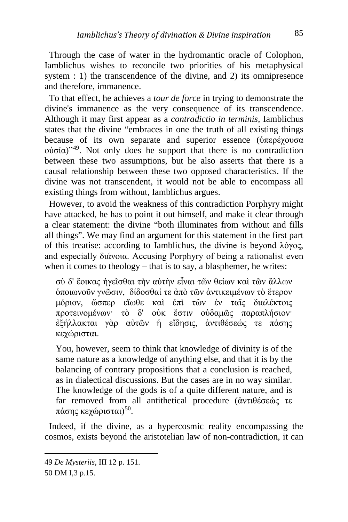Through the case of water in the hydromantic oracle of Colophon, Iamblichus wishes to reconcile two priorities of his metaphysical system : 1) the transcendence of the divine, and 2) its omnipresence and therefore, immanence.

 To that effect, he achieves a *tour de force* in trying to demonstrate the divine's immanence as the very consequence of its transcendence. Although it may first appear as a *contradictio in terminis,* Iamblichus states that the divine "embraces in one the truth of all existing things because of its own separate and superior essence (ὑπερέχουσα οὐσία)"[49.](#page-15-0) Not only does he support that there is no contradiction between these two assumptions, but he also asserts that there is a causal relationship between these two opposed characteristics. If the divine was not transcendent, it would not be able to encompass all existing things from without, Iamblichus argues.

 However, to avoid the weakness of this contradiction Porphyry might have attacked, he has to point it out himself, and make it clear through a clear statement: the divine "both illuminates from without and fills all things". We may find an argument for this statement in the first part of this treatise: according to Iamblichus, the divine is beyond λόγος, and especially διάνοια. Accusing Porphyry of being a rationalist even when it comes to theology – that is to say, a blasphemer, he writes:

σὺ δ' ἔοικας ἡγεῖσθαι τὴν αὐτὴν εἶναι τῶν θείων καὶ τῶν ἄλλων ὁποιωνοῦν γνῶσιν, δίδοσθαί τε ἀπὸ τῶν ἀντικειμένων τὸ ἕτερον μόριον, ὥσπερ εἴωθε καὶ ἐπὶ τῶν ἐν ταῖς διαλέκτοις προτεινομένων· τὸ δ' οὐκ ἔστιν οὐδαμῶς παραπλήσιον· ἐξήλλακται γὰρ αὐτῶν ἡ εἴδησις, ἀντιθέσεώς τε πάσης κεχώρισται.

You, however, seem to think that knowledge of divinity is of the same nature as a knowledge of anything else, and that it is by the balancing of contrary propositions that a conclusion is reached, as in dialectical discussions. But the cases are in no way similar. The knowledge of the gods is of a quite different nature, and is far removed from all antithetical procedure (ἀντιθέσεώς τε πάσης κεχώρισται)<sup>[50](#page-15-1)</sup>.

 Indeed, if the divine, as a hypercosmic reality encompassing the cosmos, exists beyond the aristotelian law of non-contradiction, it can

<span id="page-15-0"></span><sup>49</sup> *De Mysteriis,* III 12 p. 151.

<span id="page-15-1"></span><sup>50</sup> DM I,3 p.15.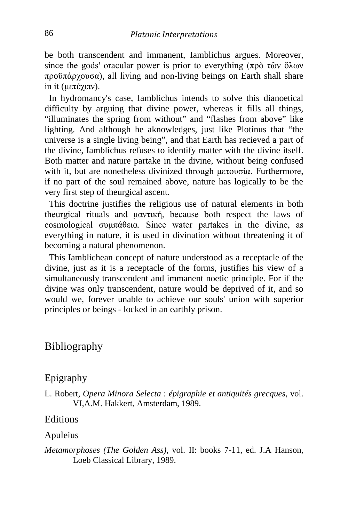be both transcendent and immanent, Iamblichus argues. Moreover, since the gods' oracular power is prior to everything (πρὸ τῶν ὅλων προϋπάρχουσα), all living and non-living beings on Earth shall share in it (μετέχειν).

 In hydromancy's case, Iamblichus intends to solve this dianoetical difficulty by arguing that divine power, whereas it fills all things, "illuminates the spring from without" and "flashes from above" like lighting. And although he aknowledges, just like Plotinus that "the universe is a single living being", and that Earth has recieved a part of the divine, Iamblichus refuses to identify matter with the divine itself. Both matter and nature partake in the divine, without being confused with it, but are nonetheless divinized through μετουσία. Furthermore, if no part of the soul remained above, nature has logically to be the very first step of theurgical ascent.

 This doctrine justifies the religious use of natural elements in both theurgical rituals and μαντική, because both respect the laws of cosmological συμπάθεια. Since water partakes in the divine, as everything in nature, it is used in divination without threatening it of becoming a natural phenomenon.

 This Iamblichean concept of nature understood as a receptacle of the divine, just as it is a receptacle of the forms, justifies his view of a simultaneously transcendent and immanent noetic principle. For if the divine was only transcendent, nature would be deprived of it, and so would we, forever unable to achieve our souls' union with superior principles or beings - locked in an earthly prison.

## Bibliography

### Epigraphy

L. Robert, *Opera Minora Selecta : épigraphie et antiquités grecques,* vol. VI,A.M. Hakkert, Amsterdam, 1989.

### **Editions**

#### Apuleius

*Metamorphoses (The Golden Ass),* vol. II: books 7-11, ed. J.A Hanson, Loeb Classical Library, 1989.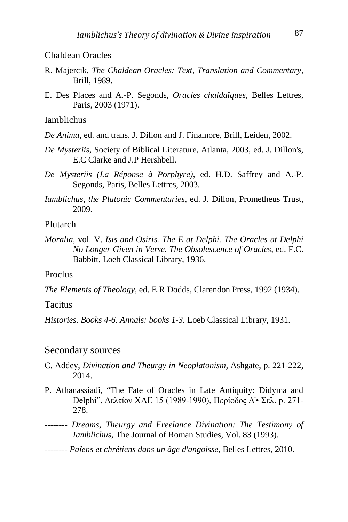### Chaldean Oracles

- R. Majercik, *The Chaldean Oracles: Text, Translation and Commentary,*  Brill, 1989.
- E. Des Places and A.-P. Segonds, *Oracles chaldaïques*, Belles Lettres, Paris, 2003 (1971).

#### Iamblichus

- *De Anima,* ed. and trans. J. Dillon and J. Finamore, Brill, Leiden, 2002.
- *De Mysteriis,* Society of Biblical Literature, Atlanta, 2003, ed. J. Dillon's, E.C Clarke and J.P Hershbell.
- *De Mysteriis (La Réponse à Porphyre),* ed. H.D. Saffrey and A.-P. Segonds, Paris, Belles Lettres, 2003.
- *Iamblichus, the Platonic Commentaries,* ed. J. Dillon, Prometheus Trust, 2009.

### Plutarch

*Moralia,* vol. V. *Isis and Osiris. The E at Delphi. The Oracles at Delphi No Longer Given in Verse. The Obsolescence of Oracles*, ed. F.C. Babbitt, Loeb Classical Library, 1936.

#### Proclus

*The Elements of Theology,* ed. E.R Dodds, Clarendon Press, 1992 (1934).

#### Tacitus

*Histories. Books 4-6. Annals: books 1-3.* Loeb Classical Library, 1931.

#### Secondary sources

- C. Addey, *Divination and Theurgy in Neoplatonism,* Ashgate, p. 221-222, 2014.
- P. Athanassiadi, "The Fate of Oracles in Late Antiquity: Didyma and Delphi", Δελτίον XAE 15 (1989-1990), Περίοδος Δ'• Σελ. p. 271- 278.
- -------- *Dreams, Theurgy and Freelance Divination: The Testimony of Iamblichus,* The Journal of Roman Studies, Vol. 83 (1993).

#### -------- *Païens et chrétiens dans un âge d'angoisse,* Belles Lettres, 2010.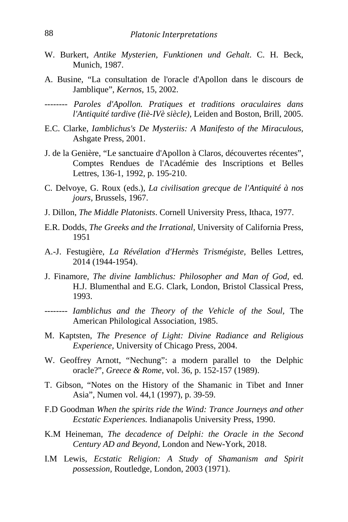- W. Burkert, *Antike Mysterien, Funktionen und Gehalt*. C. H. Beck, Munich, 1987.
- A. Busine, "La consultation de l'oracle d'Apollon dans le discours de Jamblique", *Kernos*, 15, 2002.
- -------- *Paroles d'Apollon. Pratiques et traditions oraculaires dans l'Antiquité tardive (Iiè-IVè siècle),* Leiden and Boston, Brill, 2005.
- E.C. Clarke, *Iamblichus's De Mysteriis: A Manifesto of the Miraculous,*  Ashgate Press, 2001.
- J. de la Genière, "Le sanctuaire d'Apollon à Claros, découvertes récentes", Comptes Rendues de l'Académie des Inscriptions et Belles Lettres, 136-1, 1992, p. 195-210.
- C. Delvoye, G. Roux (eds.), *La civilisation grecque de l'Antiquité à nos jours,* Brussels, 1967.
- J. Dillon, *The Middle Platonists*. Cornell University Press, Ithaca, 1977.
- E.R. Dodds, *The Greeks and the Irrational,* University of California Press, 1951
- A.-J. Festugière, *La Révélation d'Hermès Trismégiste,* Belles Lettres, 2014 (1944-1954).
- J. Finamore, *The divine Iamblichus: Philosopher and Man of God,* ed. H.J. Blumenthal and E.G. Clark, London, Bristol Classical Press, 1993.
- -------- *Iamblichus and the Theory of the Vehicle of the Soul,* The American Philological Association, 1985.
- M. Kaptsten, *The Presence of Light: Divine Radiance and Religious Experience,* University of Chicago Press, 2004.
- W. Geoffrey Arnott, "Nechung": a modern parallel to the Delphic oracle?", *Greece & Rome,* vol. 36, p. 152-157 (1989).
- T. Gibson, "Notes on the History of the Shamanic in Tibet and Inner Asia", Numen vol. 44,1 (1997), p. 39-59.
- F.D Goodman *When the spirits ride the Wind: Trance Journeys and other Ecstatic Experiences.* Indianapolis University Press, 1990.
- K.M Heineman, *The decadence of Delphi: the Oracle in the Second Century AD and Beyond,* London and New-York, 2018.
- I.M Lewis, *Ecstatic Religion: A Study of Shamanism and Spirit possession,* Routledge, London, 2003 (1971).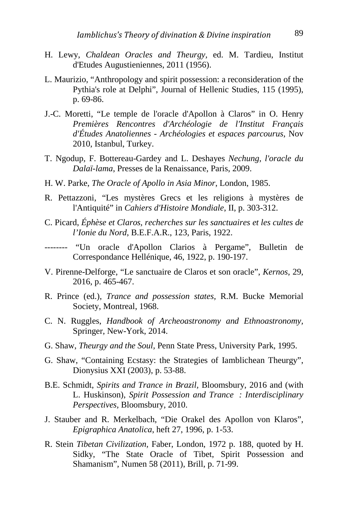- H. Lewy, *Chaldean Oracles and Theurgy,* ed. M. Tardieu, Institut d'Etudes Augustieniennes, 2011 (1956).
- L. Maurizio, "Anthropology and spirit possession: a reconsideration of the Pythia's role at Delphi", Journal of Hellenic Studies, 115 (1995), p. 69-86.
- J.-C. Moretti, "Le temple de l'oracle d'Apollon à Claros" in O. Henry *Premières Rencontres d'Archéologie de l'Institut Français d'Études Anatoliennes - Archéologies et espaces parcourus*, Nov 2010, Istanbul, Turkey.
- T. Ngodup, F. Bottereau-Gardey and L. Deshayes *Nechung, l'oracle du Dalaï-lama*, Presses de la Renaissance, Paris, 2009.
- H. W. Parke, *The Oracle of Apollo in Asia Minor*, London, 1985.
- R. Pettazzoni, "Les mystères Grecs et les religions à mystères de l'Antiquité" in *Cahiers d'Histoire Mondiale*, II, p. 303-312.
- C. Picard, *Éphèse et Claros, recherches sur les sanctuaires et les cultes de l'Ionie du Nord*, B.E.F.A.R., 123, Paris, 1922.
- -------- "Un oracle d'Apollon Clarios à Pergame", Bulletin de Correspondance Hellénique, 46, 1922, p. 190-197.
- V. Pirenne-Delforge, "Le sanctuaire de Claros et son oracle", *Kernos*, 29, 2016, p. 465-467.
- R. Prince (ed.), *Trance and possession states,* R.M. Bucke Memorial Society, Montreal, 1968.
- C. N. Ruggles, *Handbook of Archeoastronomy and Ethnoastronomy,*  Springer, New-York, 2014.
- G. Shaw, *Theurgy and the Soul,* Penn State Press, University Park, 1995.
- G. Shaw, "Containing Ecstasy: the Strategies of Iamblichean Theurgy", Dionysius XXI (2003), p. 53-88.
- B.E. Schmidt, *Spirits and Trance in Brazil,* Bloomsbury, 2016 and (with L. Huskinson), *Spirit Possession and Trance : Interdisciplinary Perspectives,* Bloomsbury, 2010.
- J. Stauber and R. Merkelbach, "Die Orakel des Apollon von Klaros", *Epigraphica Anatolica*, heft 27, 1996, p. 1-53.
- R. Stein *Tibetan Civilization,* Faber, London, 1972 p. 188, quoted by H. Sidky, "The State Oracle of Tibet, Spirit Possession and Shamanism", Numen 58 (2011), Brill, p. 71-99.